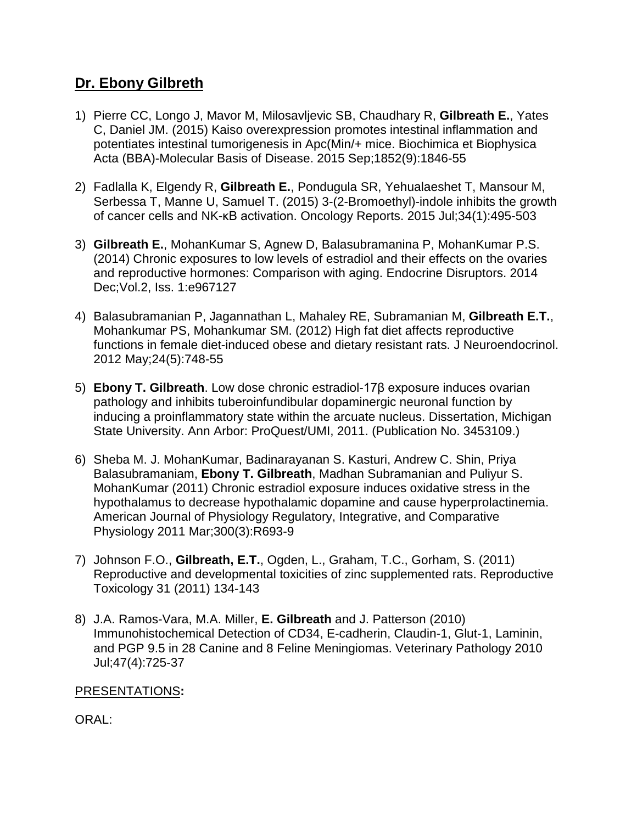## **Dr. Ebony Gilbreth**

- 1) Pierre CC, Longo J, Mavor M, Milosavljevic SB, Chaudhary R, **Gilbreath E.**, Yates C, Daniel JM. (2015) Kaiso overexpression promotes intestinal inflammation and potentiates intestinal tumorigenesis in Apc(Min/+ mice. Biochimica et Biophysica Acta (BBA)-Molecular Basis of Disease. 2015 Sep;1852(9):1846-55
- 2) Fadlalla K, Elgendy R, **Gilbreath E.**, Pondugula SR, Yehualaeshet T, Mansour M, Serbessa T, Manne U, Samuel T. (2015) 3-(2-Bromoethyl)-indole inhibits the growth of cancer cells and NK-κB activation. Oncology Reports. 2015 Jul;34(1):495-503
- 3) **Gilbreath E.**, MohanKumar S, Agnew D, Balasubramanina P, MohanKumar P.S. (2014) Chronic exposures to low levels of estradiol and their effects on the ovaries and reproductive hormones: Comparison with aging. Endocrine Disruptors. 2014 Dec;Vol.2, Iss. 1:e967127
- 4) Balasubramanian P, Jagannathan L, Mahaley RE, Subramanian M, **Gilbreath E.T.**, Mohankumar PS, Mohankumar SM. (2012) High fat diet affects reproductive functions in female diet-induced obese and dietary resistant rats. J Neuroendocrinol. 2012 May;24(5):748-55
- 5) **Ebony T. Gilbreath**. Low dose chronic estradiol-17β exposure induces ovarian pathology and inhibits tuberoinfundibular dopaminergic neuronal function by inducing a proinflammatory state within the arcuate nucleus. Dissertation, Michigan State University. Ann Arbor: ProQuest/UMI, 2011. (Publication No. 3453109.)
- 6) Sheba M. J. MohanKumar, Badinarayanan S. Kasturi, Andrew C. Shin, Priya Balasubramaniam, **Ebony T. Gilbreath**, Madhan Subramanian and Puliyur S. MohanKumar (2011) Chronic estradiol exposure induces oxidative stress in the hypothalamus to decrease hypothalamic dopamine and cause hyperprolactinemia. American Journal of Physiology Regulatory, Integrative, and Comparative Physiology 2011 Mar;300(3):R693-9
- 7) Johnson F.O., **Gilbreath, E.T.**, Ogden, L., Graham, T.C., Gorham, S. (2011) Reproductive and developmental toxicities of zinc supplemented rats. Reproductive Toxicology 31 (2011) 134-143
- 8) J.A. Ramos-Vara, M.A. Miller, **E. Gilbreath** and J. Patterson (2010) Immunohistochemical Detection of CD34, E-cadherin, Claudin-1, Glut-1, Laminin, and PGP 9.5 in 28 Canine and 8 Feline Meningiomas. Veterinary Pathology 2010 Jul;47(4):725-37

## PRESENTATIONS**:**

ORAL: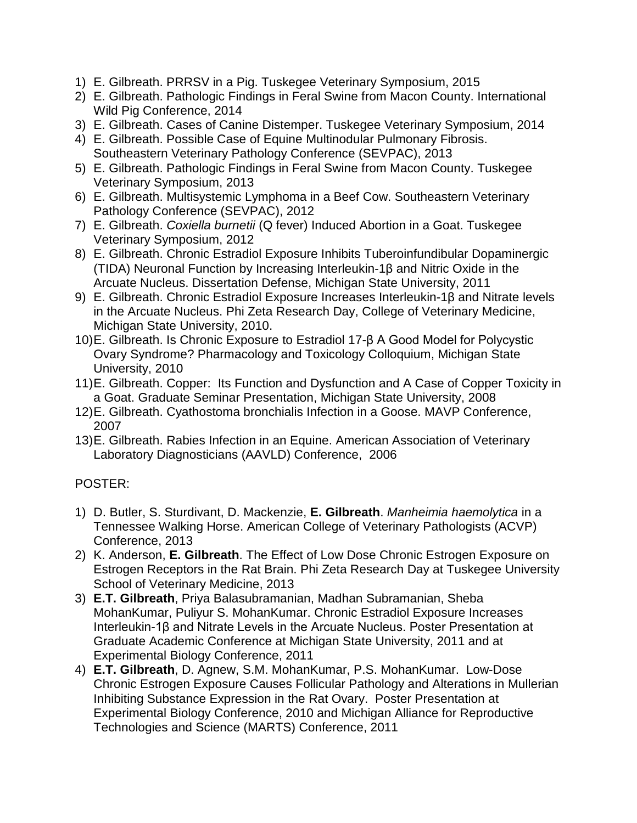- 1) E. Gilbreath. PRRSV in a Pig. Tuskegee Veterinary Symposium, 2015
- 2) E. Gilbreath. Pathologic Findings in Feral Swine from Macon County. International Wild Pig Conference, 2014
- 3) E. Gilbreath. Cases of Canine Distemper. Tuskegee Veterinary Symposium, 2014
- 4) E. Gilbreath. Possible Case of Equine Multinodular Pulmonary Fibrosis. Southeastern Veterinary Pathology Conference (SEVPAC), 2013
- 5) E. Gilbreath. Pathologic Findings in Feral Swine from Macon County. Tuskegee Veterinary Symposium, 2013
- 6) E. Gilbreath. Multisystemic Lymphoma in a Beef Cow. Southeastern Veterinary Pathology Conference (SEVPAC), 2012
- 7) E. Gilbreath. *Coxiella burnetii* (Q fever) Induced Abortion in a Goat. Tuskegee Veterinary Symposium, 2012
- 8) E. Gilbreath. Chronic Estradiol Exposure Inhibits Tuberoinfundibular Dopaminergic (TIDA) Neuronal Function by Increasing Interleukin-1β and Nitric Oxide in the Arcuate Nucleus. Dissertation Defense, Michigan State University, 2011
- 9) E. Gilbreath. Chronic Estradiol Exposure Increases Interleukin-1β and Nitrate levels in the Arcuate Nucleus. Phi Zeta Research Day, College of Veterinary Medicine, Michigan State University, 2010.
- 10)E. Gilbreath. Is Chronic Exposure to Estradiol 17-β A Good Model for Polycystic Ovary Syndrome? Pharmacology and Toxicology Colloquium, Michigan State University, 2010
- 11)E. Gilbreath. Copper: Its Function and Dysfunction and A Case of Copper Toxicity in a Goat. Graduate Seminar Presentation, Michigan State University, 2008
- 12)E. Gilbreath. Cyathostoma bronchialis Infection in a Goose. MAVP Conference, 2007
- 13)E. Gilbreath. Rabies Infection in an Equine. American Association of Veterinary Laboratory Diagnosticians (AAVLD) Conference, 2006

## POSTER:

- 1) D. Butler, S. Sturdivant, D. Mackenzie, **E. Gilbreath**. *Manheimia haemolytica* in a Tennessee Walking Horse. American College of Veterinary Pathologists (ACVP) Conference, 2013
- 2) K. Anderson, **E. Gilbreath**. The Effect of Low Dose Chronic Estrogen Exposure on Estrogen Receptors in the Rat Brain. Phi Zeta Research Day at Tuskegee University School of Veterinary Medicine, 2013
- 3) **E.T. Gilbreath**, Priya Balasubramanian, Madhan Subramanian, Sheba MohanKumar, Puliyur S. MohanKumar. Chronic Estradiol Exposure Increases Interleukin-1β and Nitrate Levels in the Arcuate Nucleus. Poster Presentation at Graduate Academic Conference at Michigan State University, 2011 and at Experimental Biology Conference, 2011
- 4) **E.T. Gilbreath**, D. Agnew, S.M. MohanKumar, P.S. MohanKumar. Low-Dose Chronic Estrogen Exposure Causes Follicular Pathology and Alterations in Mullerian Inhibiting Substance Expression in the Rat Ovary. Poster Presentation at Experimental Biology Conference, 2010 and Michigan Alliance for Reproductive Technologies and Science (MARTS) Conference, 2011